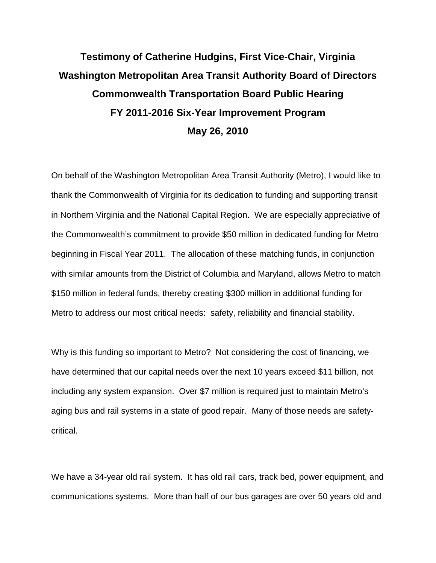## **Testimony of Catherine Hudgins, First Vice-Chair, Virginia Washington Metropolitan Area Transit Authority Board of Directors Commonwealth Transportation Board Public Hearing FY 2011-2016 Six-Year Improvement Program May 26, 2010**

On behalf of the Washington Metropolitan Area Transit Authority (Metro), I would like to thank the Commonwealth of Virginia for its dedication to funding and supporting transit in Northern Virginia and the National Capital Region. We are especially appreciative of the Commonwealth's commitment to provide \$50 million in dedicated funding for Metro beginning in Fiscal Year 2011. The allocation of these matching funds, in conjunction with similar amounts from the District of Columbia and Maryland, allows Metro to match \$150 million in federal funds, thereby creating \$300 million in additional funding for Metro to address our most critical needs: safety, reliability and financial stability.

Why is this funding so important to Metro? Not considering the cost of financing, we have determined that our capital needs over the next 10 years exceed \$11 billion, not including any system expansion. Over \$7 million is required just to maintain Metro's aging bus and rail systems in a state of good repair. Many of those needs are safetycritical.

We have a 34-year old rail system. It has old rail cars, track bed, power equipment, and communications systems. More than half of our bus garages are over 50 years old and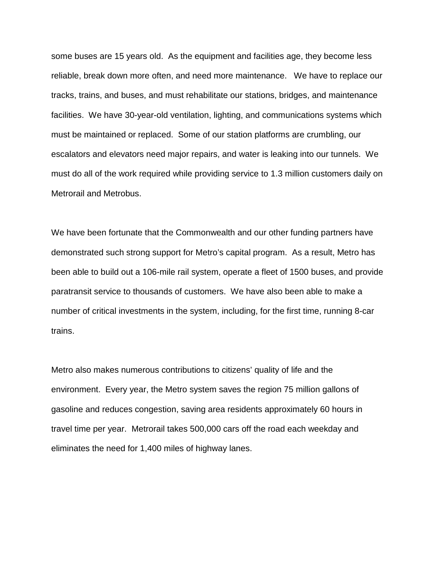some buses are 15 years old. As the equipment and facilities age, they become less reliable, break down more often, and need more maintenance. We have to replace our tracks, trains, and buses, and must rehabilitate our stations, bridges, and maintenance facilities. We have 30-year-old ventilation, lighting, and communications systems which must be maintained or replaced. Some of our station platforms are crumbling, our escalators and elevators need major repairs, and water is leaking into our tunnels. We must do all of the work required while providing service to 1.3 million customers daily on Metrorail and Metrobus.

We have been fortunate that the Commonwealth and our other funding partners have demonstrated such strong support for Metro's capital program. As a result, Metro has been able to build out a 106-mile rail system, operate a fleet of 1500 buses, and provide paratransit service to thousands of customers. We have also been able to make a number of critical investments in the system, including, for the first time, running 8-car trains.

Metro also makes numerous contributions to citizens' quality of life and the environment. Every year, the Metro system saves the region 75 million gallons of gasoline and reduces congestion, saving area residents approximately 60 hours in travel time per year. Metrorail takes 500,000 cars off the road each weekday and eliminates the need for 1,400 miles of highway lanes.